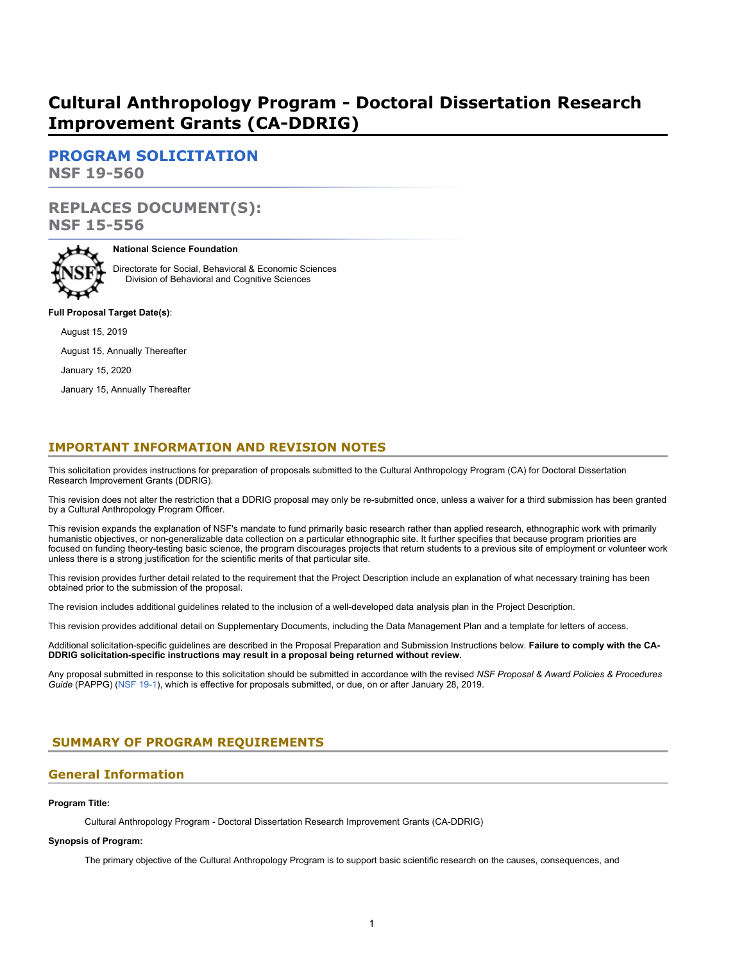# **Cultural Anthropology Program - Doctoral Dissertation Research Improvement Grants (CA-DDRIG)**

**[PROGRAM SOLICITATION](#page-3-0) NSF 19-560**

# **REPLACES DOCUMENT(S): NSF 15-556**



#### **National Science Foundation**

Directorate for Social, Behavioral & Economic Sciences Division of Behavioral and Cognitive Sciences

#### **Full Proposal Target Date(s)**:

 August 15, 2019 August 15, Annually Thereafter January 15, 2020 January 15, Annually Thereafter

# **IMPORTANT INFORMATION AND REVISION NOTES**

This solicitation provides instructions for preparation of proposals submitted to the Cultural Anthropology Program (CA) for Doctoral Dissertation Research Improvement Grants (DDRIG).

This revision does not alter the restriction that a DDRIG proposal may only be re-submitted once, unless a waiver for a third submission has been granted by a Cultural Anthropology Program Officer.

This revision expands the explanation of NSF's mandate to fund primarily basic research rather than applied research, ethnographic work with primarily humanistic objectives, or non-generalizable data collection on a particular ethnographic site. It further specifies that because program priorities are focused on funding theory-testing basic science, the program discourages projects that return students to a previous site of employment or volunteer work unless there is a strong justification for the scientific merits of that particular site.

This revision provides further detail related to the requirement that the Project Description include an explanation of what necessary training has been obtained prior to the submission of the proposal.

The revision includes additional guidelines related to the inclusion of a well-developed data analysis plan in the Project Description.

This revision provides additional detail on Supplementary Documents, including the Data Management Plan and a template for letters of access.

Additional solicitation-specific guidelines are described in the Proposal Preparation and Submission Instructions below. **Failure to comply with the CA-DDRIG solicitation-specific instructions may result in a proposal being returned without review.**

Any proposal submitted in response to this solicitation should be submitted in accordance with the revised *NSF Proposal & Award Policies & Procedures Guide* (PAPPG) [\(NSF 19-1](https://www.nsf.gov/publications/pub_summ.jsp?ods_key=nsf19001)), which is effective for proposals submitted, or due, on or after January 28, 2019.

# <span id="page-0-0"></span>**SUMMARY OF PROGRAM REQUIREMENTS**

# **General Information**

#### **Program Title:**

Cultural Anthropology Program - Doctoral Dissertation Research Improvement Grants (CA-DDRIG)

#### **Synopsis of Program:**

The primary objective of the Cultural Anthropology Program is to support basic scientific research on the causes, consequences, and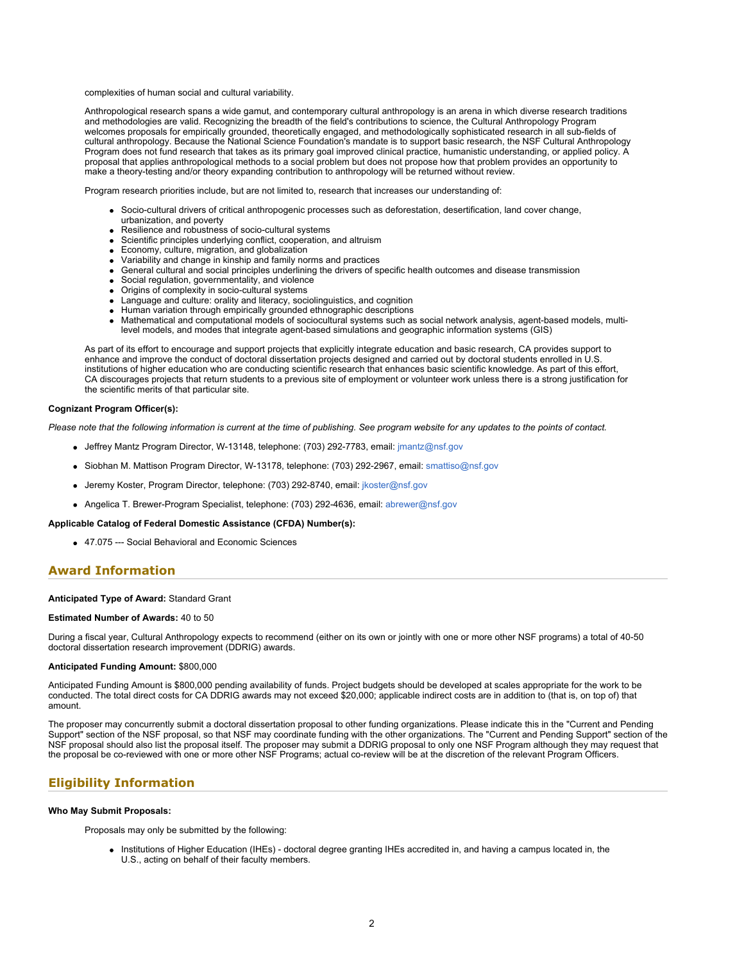complexities of human social and cultural variability.

Anthropological research spans a wide gamut, and contemporary cultural anthropology is an arena in which diverse research traditions and methodologies are valid. Recognizing the breadth of the field's contributions to science, the Cultural Anthropology Program welcomes proposals for empirically grounded, theoretically engaged, and methodologically sophisticated research in all sub-fields of cultural anthropology. Because the National Science Foundation's mandate is to support basic research, the NSF Cultural Anthropology Program does not fund research that takes as its primary goal improved clinical practice, humanistic understanding, or applied policy. A proposal that applies anthropological methods to a social problem but does not propose how that problem provides an opportunity to make a theory-testing and/or theory expanding contribution to anthropology will be returned without review.

Program research priorities include, but are not limited to, research that increases our understanding of:

- Socio-cultural drivers of critical anthropogenic processes such as deforestation, desertification, land cover change, urbanization, and poverty
- Resilience and robustness of socio-cultural systems
- Scientific principles underlying conflict, cooperation, and altruism
- Economy, culture, migration, and globalization
- Variability and change in kinship and family norms and practices
- General cultural and social principles underlining the drivers of specific health outcomes and disease transmission
- Social regulation, governmentality, and violence
- Origins of complexity in socio-cultural systems
- Language and culture: orality and literacy, sociolinguistics, and cognition
- Human variation through empirically grounded ethnographic descriptions
- Mathematical and computational models of sociocultural systems such as social network analysis, agent-based models, multilevel models, and modes that integrate agent-based simulations and geographic information systems (GIS)

As part of its effort to encourage and support projects that explicitly integrate education and basic research, CA provides support to enhance and improve the conduct of doctoral dissertation projects designed and carried out by doctoral students enrolled in U.S. institutions of higher education who are conducting scientific research that enhances basic scientific knowledge. As part of this effort, CA discourages projects that return students to a previous site of employment or volunteer work unless there is a strong justification for the scientific merits of that particular site.

#### **Cognizant Program Officer(s):**

*Please note that the following information is current at the time of publishing. See program website for any updates to the points of contact.*

- Jeffrey Mantz Program Director, W-13148, telephone: (703) 292-7783, email: [jmantz@nsf.gov](mailto:jmantz@nsf.gov)
- Siobhan M. Mattison Program Director, W-13178, telephone: (703) 292-2967, email: [smattiso@nsf.gov](mailto:smattiso@nsf.gov)
- Jeremy Koster, Program Director, telephone: (703) 292-8740, email: [jkoster@nsf.gov](mailto:jkoster@nsf.gov)
- Angelica T. Brewer-Program Specialist, telephone: (703) 292-4636, email: [abrewer@nsf.gov](mailto:abrewer@nsf.gov)

**Applicable Catalog of Federal Domestic Assistance (CFDA) Number(s):**

47.075 --- Social Behavioral and Economic Sciences

### **Award Information**

#### **Anticipated Type of Award:** Standard Grant

#### **Estimated Number of Awards:** 40 to 50

During a fiscal year, Cultural Anthropology expects to recommend (either on its own or jointly with one or more other NSF programs) a total of 40-50 doctoral dissertation research improvement (DDRIG) awards.

#### **Anticipated Funding Amount:** \$800,000

Anticipated Funding Amount is \$800,000 pending availability of funds. Project budgets should be developed at scales appropriate for the work to be conducted. The total direct costs for CA DDRIG awards may not exceed \$20,000; applicable indirect costs are in addition to (that is, on top of) that amount.

The proposer may concurrently submit a doctoral dissertation proposal to other funding organizations. Please indicate this in the "Current and Pending Support" section of the NSF proposal, so that NSF may coordinate funding with the other organizations. The "Current and Pending Support" section of the NSF proposal should also list the proposal itself. The proposer may submit a DDRIG proposal to only one NSF Program although they may request that the proposal be co-reviewed with one or more other NSF Programs; actual co-review will be at the discretion of the relevant Program Officers.

### **Eligibility Information**

#### **Who May Submit Proposals:**

Proposals may only be submitted by the following:

Institutions of Higher Education (IHEs) - doctoral degree granting IHEs accredited in, and having a campus located in, the U.S., acting on behalf of their faculty members.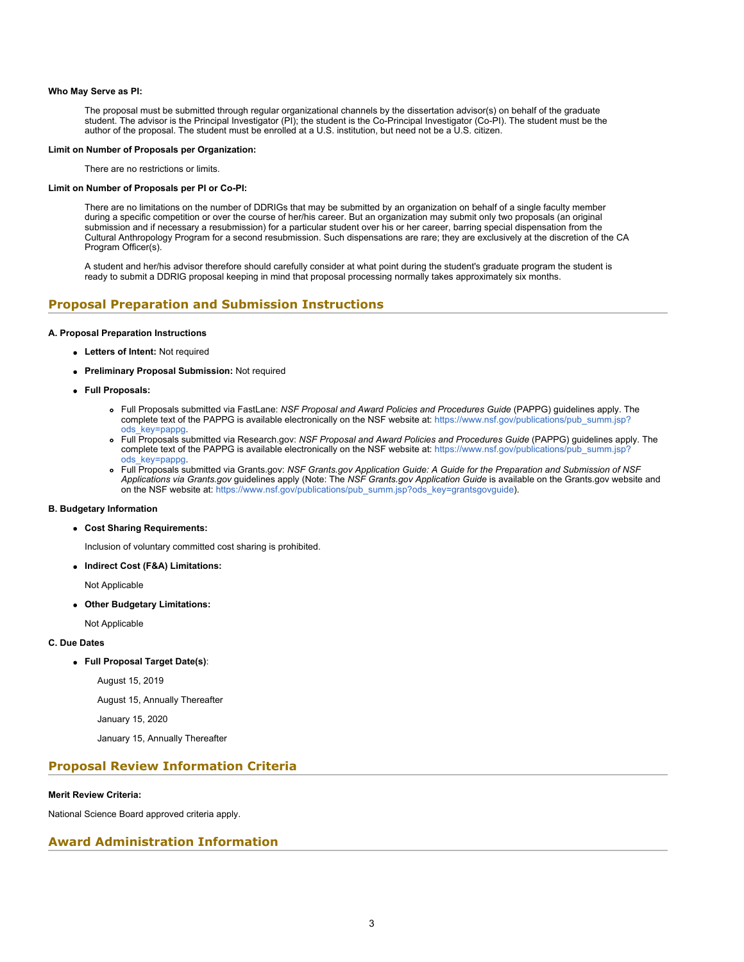#### **Who May Serve as PI:**

The proposal must be submitted through regular organizational channels by the dissertation advisor(s) on behalf of the graduate student. The advisor is the Principal Investigator (PI); the student is the Co-Principal Investigator (Co-PI). The student must be the author of the proposal. The student must be enrolled at a U.S. institution, but need not be a U.S. citizen.

#### **Limit on Number of Proposals per Organization:**

There are no restrictions or limits.

#### **Limit on Number of Proposals per PI or Co-PI:**

There are no limitations on the number of DDRIGs that may be submitted by an organization on behalf of a single faculty member during a specific competition or over the course of her/his career. But an organization may submit only two proposals (an original submission and if necessary a resubmission) for a particular student over his or her career, barring special dispensation from the Cultural Anthropology Program for a second resubmission. Such dispensations are rare; they are exclusively at the discretion of the CA Program Officer(s).

A student and her/his advisor therefore should carefully consider at what point during the student's graduate program the student is ready to submit a DDRIG proposal keeping in mind that proposal processing normally takes approximately six months.

### **Proposal Preparation and Submission Instructions**

#### **A. Proposal Preparation Instructions**

- **Letters of Intent:** Not required
- **Preliminary Proposal Submission:** Not required
- **Full Proposals:**
	- Full Proposals submitted via FastLane: *NSF Proposal and Award Policies and Procedures Guide* (PAPPG) guidelines apply. The complete text of the PAPPG is available electronically on the NSF website at: [https://www.nsf.gov/publications/pub\\_summ.jsp?](https://www.nsf.gov/publications/pub_summ.jsp?ods_key=pappg) [ods\\_key=pappg.](https://www.nsf.gov/publications/pub_summ.jsp?ods_key=pappg)
	- Full Proposals submitted via Research.gov: *NSF Proposal and Award Policies and Procedures Guide* (PAPPG) guidelines apply. The complete text of the PAPPG is available electronically on the NSF website at: [https://www.nsf.gov/publications/pub\\_summ.jsp?](https://www.nsf.gov/publications/pub_summ.jsp?ods_key=pappg) [ods\\_key=pappg.](https://www.nsf.gov/publications/pub_summ.jsp?ods_key=pappg)
	- Full Proposals submitted via Grants.gov: *NSF Grants.gov Application Guide: A Guide for the Preparation and Submission of NSF Applications via Grants.gov* guidelines apply (Note: The *NSF Grants.gov Application Guide* is available on the Grants.gov website and on the NSF website at: [https://www.nsf.gov/publications/pub\\_summ.jsp?ods\\_key=grantsgovguide](https://www.nsf.gov/publications/pub_summ.jsp?ods_key=grantsgovguide)).

#### **B. Budgetary Information**

#### **Cost Sharing Requirements:**

Inclusion of voluntary committed cost sharing is prohibited.

**Indirect Cost (F&A) Limitations:**

Not Applicable

**Other Budgetary Limitations:**

Not Applicable

#### **C. Due Dates**

**Full Proposal Target Date(s)**:

August 15, 2019

August 15, Annually Thereafter

January 15, 2020

January 15, Annually Thereafter

### **Proposal Review Information Criteria**

#### **Merit Review Criteria:**

National Science Board approved criteria apply.

#### **Award Administration Information**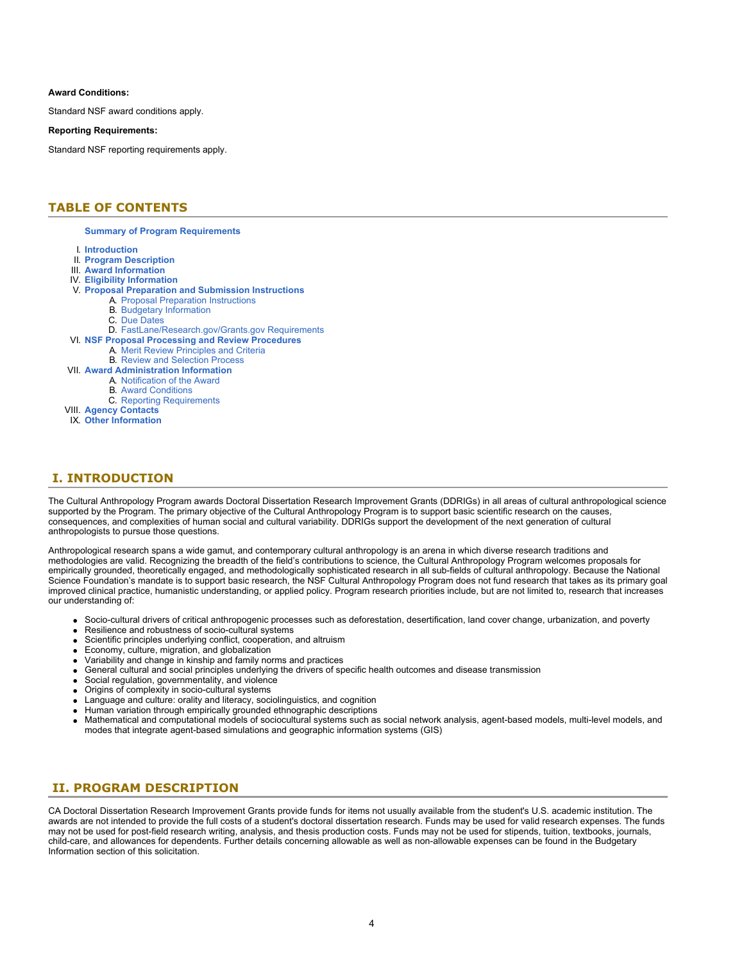#### **Award Conditions:**

Standard NSF award conditions apply.

#### **Reporting Requirements:**

Standard NSF reporting requirements apply.

### <span id="page-3-0"></span>**TABLE OF CONTENTS**

#### **[Summary of Program Requirements](#page-0-0)**

- I. **[Introduction](#page-3-1)**
- II. **[Program Description](#page-3-2)**
- III. **[Award Information](#page-4-0)**
- IV. **[Eligibility Information](#page-4-1)**
- V. **[Proposal Preparation and Submission Instructions](#page-4-2)**
	- A. [Proposal Preparation Instructions](#page-4-2)
		- B. [Budgetary Information](#page-7-0)
		- C. [Due Dates](#page-7-1)
	- D. [FastLane/Research.gov/Grants.gov Requirements](#page-7-2)
- VI. **[NSF Proposal Processing and Review Procedures](#page-8-0)**
	- A. [Merit Review Principles and Criteria](#page-8-1)
- B. [Review and Selection Process](#page-9-0)
- VII. **[Award Administration Information](#page-10-0)**
	- A. [Notification of the Award](#page-10-1)
		- B. [Award Conditions](#page-10-2)
		- C. [Reporting Requirements](#page-10-3)
- VIII. **[Agency Contacts](#page-10-4)**
- IX. **[Other Information](#page-11-0)**

# <span id="page-3-1"></span>**I. INTRODUCTION**

The Cultural Anthropology Program awards Doctoral Dissertation Research Improvement Grants (DDRIGs) in all areas of cultural anthropological science supported by the Program. The primary objective of the Cultural Anthropology Program is to support basic scientific research on the causes, consequences, and complexities of human social and cultural variability. DDRIGs support the development of the next generation of cultural anthropologists to pursue those questions.

Anthropological research spans a wide gamut, and contemporary cultural anthropology is an arena in which diverse research traditions and methodologies are valid. Recognizing the breadth of the field's contributions to science, the Cultural Anthropology Program welcomes proposals for empirically grounded, theoretically engaged, and methodologically sophisticated research in all sub-fields of cultural anthropology. Because the National Science Foundation's mandate is to support basic research, the NSF Cultural Anthropology Program does not fund research that takes as its primary goal improved clinical practice, humanistic understanding, or applied policy. Program research priorities include, but are not limited to, research that increases our understanding of:

- Socio-cultural drivers of critical anthropogenic processes such as deforestation, desertification, land cover change, urbanization, and poverty
- Resilience and robustness of socio-cultural systems
- Scientific principles underlying conflict, cooperation, and altruism
- Economy, culture, migration, and globalization
- Variability and change in kinship and family norms and practices
- General cultural and social principles underlying the drivers of specific health outcomes and disease transmission
- Social regulation, governmentality, and violence
- Origins of complexity in socio-cultural systems
- Language and culture: orality and literacy, sociolinguistics, and cognition
- Human variation through empirically grounded ethnographic descriptions
- Mathematical and computational models of sociocultural systems such as social network analysis, agent-based models, multi-level models, and modes that integrate agent-based simulations and geographic information systems (GIS)

# <span id="page-3-2"></span>**II. PROGRAM DESCRIPTION**

CA Doctoral Dissertation Research Improvement Grants provide funds for items not usually available from the student's U.S. academic institution. The awards are not intended to provide the full costs of a student's doctoral dissertation research. Funds may be used for valid research expenses. The funds may not be used for post-field research writing, analysis, and thesis production costs. Funds may not be used for stipends, tuition, textbooks, journals, child-care, and allowances for dependents. Further details concerning allowable as well as non-allowable expenses can be found in the Budgetary Information section of this solicitation.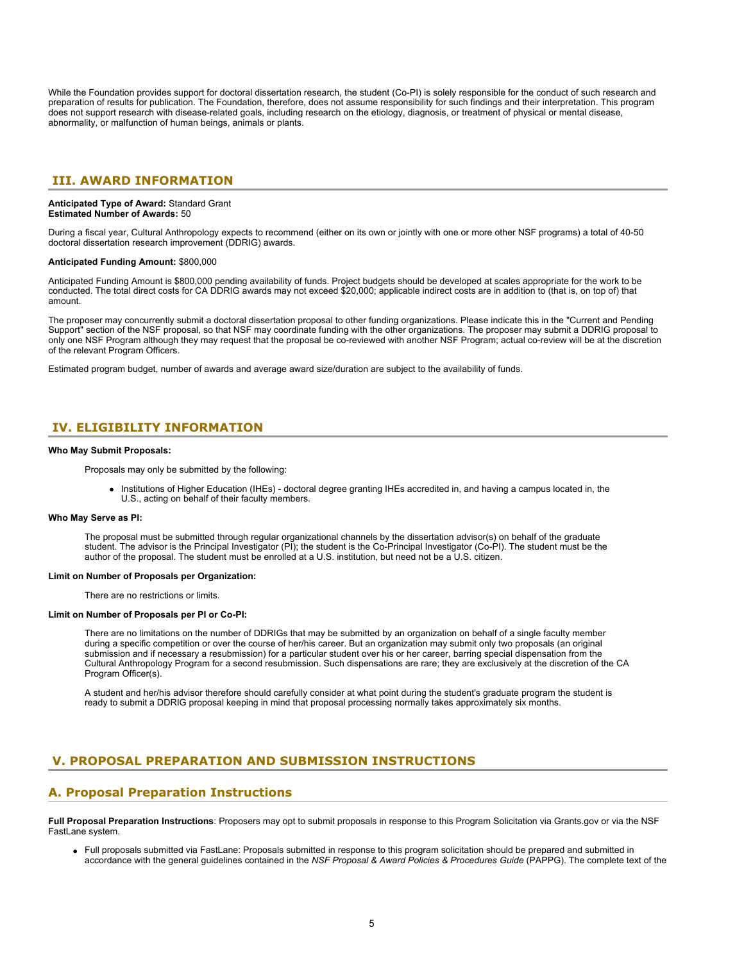While the Foundation provides support for doctoral dissertation research, the student (Co-PI) is solely responsible for the conduct of such research and preparation of results for publication. The Foundation, therefore, does not assume responsibility for such findings and their interpretation. This program does not support research with disease-related goals, including research on the etiology, diagnosis, or treatment of physical or mental disease, abnormality, or malfunction of human beings, animals or plants.

### <span id="page-4-0"></span>**III. AWARD INFORMATION**

#### **Anticipated Type of Award:** Standard Grant **Estimated Number of Awards:** 50

During a fiscal year, Cultural Anthropology expects to recommend (either on its own or jointly with one or more other NSF programs) a total of 40-50 doctoral dissertation research improvement (DDRIG) awards.

#### **Anticipated Funding Amount:** \$800,000

Anticipated Funding Amount is \$800,000 pending availability of funds. Project budgets should be developed at scales appropriate for the work to be conducted. The total direct costs for CA DDRIG awards may not exceed \$20,000; applicable indirect costs are in addition to (that is, on top of) that amount.

The proposer may concurrently submit a doctoral dissertation proposal to other funding organizations. Please indicate this in the "Current and Pending Support" section of the NSF proposal, so that NSF may coordinate funding with the other organizations. The proposer may submit a DDRIG proposal to only one NSF Program although they may request that the proposal be co-reviewed with another NSF Program; actual co-review will be at the discretion of the relevant Program Officers.

Estimated program budget, number of awards and average award size/duration are subject to the availability of funds.

# <span id="page-4-1"></span>**IV. ELIGIBILITY INFORMATION**

#### **Who May Submit Proposals:**

Proposals may only be submitted by the following:

Institutions of Higher Education (IHEs) - doctoral degree granting IHEs accredited in, and having a campus located in, the U.S., acting on behalf of their faculty members.

#### **Who May Serve as PI:**

The proposal must be submitted through regular organizational channels by the dissertation advisor(s) on behalf of the graduate student. The advisor is the Principal Investigator (PI); the student is the Co-Principal Investigator (Co-PI). The student must be the author of the proposal. The student must be enrolled at a U.S. institution, but need not be a U.S. citizen.

#### **Limit on Number of Proposals per Organization:**

There are no restrictions or limits.

#### **Limit on Number of Proposals per PI or Co-PI:**

There are no limitations on the number of DDRIGs that may be submitted by an organization on behalf of a single faculty member during a specific competition or over the course of her/his career. But an organization may submit only two proposals (an original submission and if necessary a resubmission) for a particular student over his or her career, barring special dispensation from the Cultural Anthropology Program for a second resubmission. Such dispensations are rare; they are exclusively at the discretion of the CA Program Officer(s).

A student and her/his advisor therefore should carefully consider at what point during the student's graduate program the student is ready to submit a DDRIG proposal keeping in mind that proposal processing normally takes approximately six months.

### <span id="page-4-2"></span>**V. PROPOSAL PREPARATION AND SUBMISSION INSTRUCTIONS**

### **A. Proposal Preparation Instructions**

**Full Proposal Preparation Instructions**: Proposers may opt to submit proposals in response to this Program Solicitation via Grants.gov or via the NSF FastLane system.

Full proposals submitted via FastLane: Proposals submitted in response to this program solicitation should be prepared and submitted in accordance with the general guidelines contained in the *NSF Proposal & Award Policies & Procedures Guide* (PAPPG). The complete text of the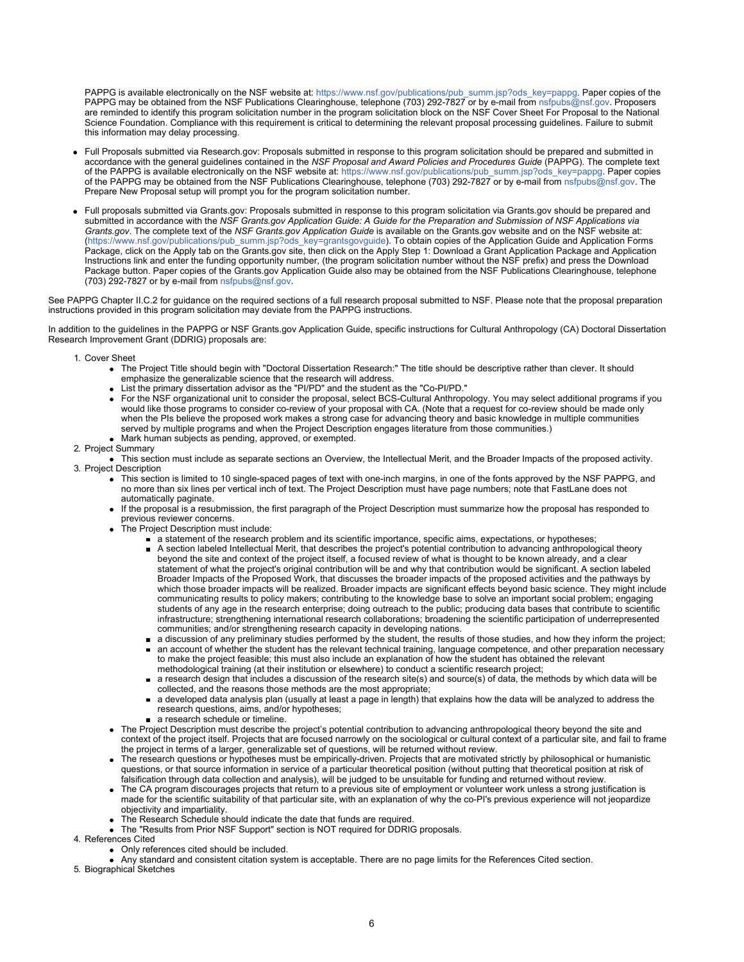PAPPG is available electronically on the NSF website at: [https://www.nsf.gov/publications/pub\\_summ.jsp?ods\\_key=pappg](https://www.nsf.gov/publications/pub_summ.jsp?ods_key=pappg). Paper copies of the PAPPG may be obtained from the NSF Publications Clearinghouse, telephone (703) 292-7827 or by e-mail from [nsfpubs@nsf.gov](mailto:nsfpubs@nsf.gov). Proposers are reminded to identify this program solicitation number in the program solicitation block on the NSF Cover Sheet For Proposal to the National Science Foundation. Compliance with this requirement is critical to determining the relevant proposal processing guidelines. Failure to submit this information may delay processing.

- Full Proposals submitted via Research.gov: Proposals submitted in response to this program solicitation should be prepared and submitted in accordance with the general guidelines contained in the *NSF Proposal and Award Policies and Procedures Guide* (PAPPG). The complete text of the PAPPG is available electronically on the NSF website at: [https://www.nsf.gov/publications/pub\\_summ.jsp?ods\\_key=pappg](https://www.nsf.gov/publications/pub_summ.jsp?ods_key=pappg). Paper copies of the PAPPG may be obtained from the NSF Publications Clearinghouse, telephone (703) 292-7827 or by e-mail from [nsfpubs@nsf.gov](mailto:nsfpubs@nsf.gov). The Prepare New Proposal setup will prompt you for the program solicitation number.
- Full proposals submitted via Grants.gov: Proposals submitted in response to this program solicitation via Grants.gov should be prepared and submitted in accordance with the *NSF Grants.gov Application Guide: A Guide for the Preparation and Submission of NSF Applications via Grants.gov*. The complete text of the *NSF Grants.gov Application Guide* is available on the Grants.gov website and on the NSF website at: [\(https://www.nsf.gov/publications/pub\\_summ.jsp?ods\\_key=grantsgovguide](https://www.nsf.gov/publications/pub_summ.jsp?ods_key=grantsgovguide)). To obtain copies of the Application Guide and Application Forms Package, click on the Apply tab on the Grants.gov site, then click on the Apply Step 1: Download a Grant Application Package and Application Instructions link and enter the funding opportunity number, (the program solicitation number without the NSF prefix) and press the Download Package button. Paper copies of the Grants.gov Application Guide also may be obtained from the NSF Publications Clearinghouse, telephone (703) 292-7827 or by e-mail from [nsfpubs@nsf.gov](mailto:nsfpubs@nsf.gov).

See PAPPG Chapter II.C.2 for guidance on the required sections of a full research proposal submitted to NSF. Please note that the proposal preparation instructions provided in this program solicitation may deviate from the PAPPG instructions.

In addition to the guidelines in the PAPPG or NSF Grants.gov Application Guide, specific instructions for Cultural Anthropology (CA) Doctoral Dissertation Research Improvement Grant (DDRIG) proposals are:

#### 1. Cover Sheet

- The Project Title should begin with "Doctoral Dissertation Research:" The title should be descriptive rather than clever. It should emphasize the generalizable science that the research will address.
- List the primary dissertation advisor as the "PI/PD" and the student as the "Co-PI/PD."
- For the NSF organizational unit to consider the proposal, select BCS-Cultural Anthropology. You may select additional programs if you would like those programs to consider co-review of your proposal with CA. (Note that a request for co-review should be made only when the PIs believe the proposed work makes a strong case for advancing theory and basic knowledge in multiple communities served by multiple programs and when the Project Description engages literature from those communities.)
- Mark human subjects as pending, approved, or exempted.
- 2. Project Summary
- This section must include as separate sections an Overview, the Intellectual Merit, and the Broader Impacts of the proposed activity. 3. Project Description
	- This section is limited to 10 single-spaced pages of text with one-inch margins, in one of the fonts approved by the NSF PAPPG, and no more than six lines per vertical inch of text. The Project Description must have page numbers; note that FastLane does not automatically paginate.
	- If the proposal is a resubmission, the first paragraph of the Project Description must summarize how the proposal has responded to previous reviewer concerns.
	- The Project Description must include:
		- $\bullet$  a statement of the research problem and its scientific importance, specific aims, expectations, or hypotheses;
		- A section labeled Intellectual Merit, that describes the project's potential contribution to advancing anthropological theory beyond the site and context of the project itself, a focused review of what is thought to be known already, and a clear statement of what the project's original contribution will be and why that contribution would be significant. A section labeled Broader Impacts of the Proposed Work, that discusses the broader impacts of the proposed activities and the pathways by which those broader impacts will be realized. Broader impacts are significant effects beyond basic science. They might include communicating results to policy makers; contributing to the knowledge base to solve an important social problem; engaging students of any age in the research enterprise; doing outreach to the public; producing data bases that contribute to scientific infrastructure; strengthening international research collaborations; broadening the scientific participation of underrepresented communities; and/or strengthening research capacity in developing nations.
		- a discussion of any preliminary studies performed by the student, the results of those studies, and how they inform the project;
		- an account of whether the student has the relevant technical training, language competence, and other preparation necessary to make the project feasible; this must also include an explanation of how the student has obtained the relevant methodological training (at their institution or elsewhere) to conduct a scientific research project;
		- a research design that includes a discussion of the research site(s) and source(s) of data, the methods by which data will be collected, and the reasons those methods are the most appropriate;
		- a developed data analysis plan (usually at least a page in length) that explains how the data will be analyzed to address the research questions, aims, and/or hypotheses;
		- a research schedule or timeline.
	- The Project Description must describe the project's potential contribution to advancing anthropological theory beyond the site and context of the project itself. Projects that are focused narrowly on the sociological or cultural context of a particular site, and fail to frame the project in terms of a larger, generalizable set of questions, will be returned without review.
	- The research questions or hypotheses must be empirically-driven. Projects that are motivated strictly by philosophical or humanistic questions, or that source information in service of a particular theoretical position (without putting that theoretical position at risk of falsification through data collection and analysis), will be judged to be unsuitable for funding and returned without review.
	- The CA program discourages projects that return to a previous site of employment or volunteer work unless a strong justification is made for the scientific suitability of that particular site, with an explanation of why the co-PI's previous experience will not jeopardize objectivity and impartiality.
	- The Research Schedule should indicate the date that funds are required.
	- The "Results from Prior NSF Support" section is NOT required for DDRIG proposals.
- 4. References Cited
	- Only references cited should be included.
	- Any standard and consistent citation system is acceptable. There are no page limits for the References Cited section.

5. Biographical Sketches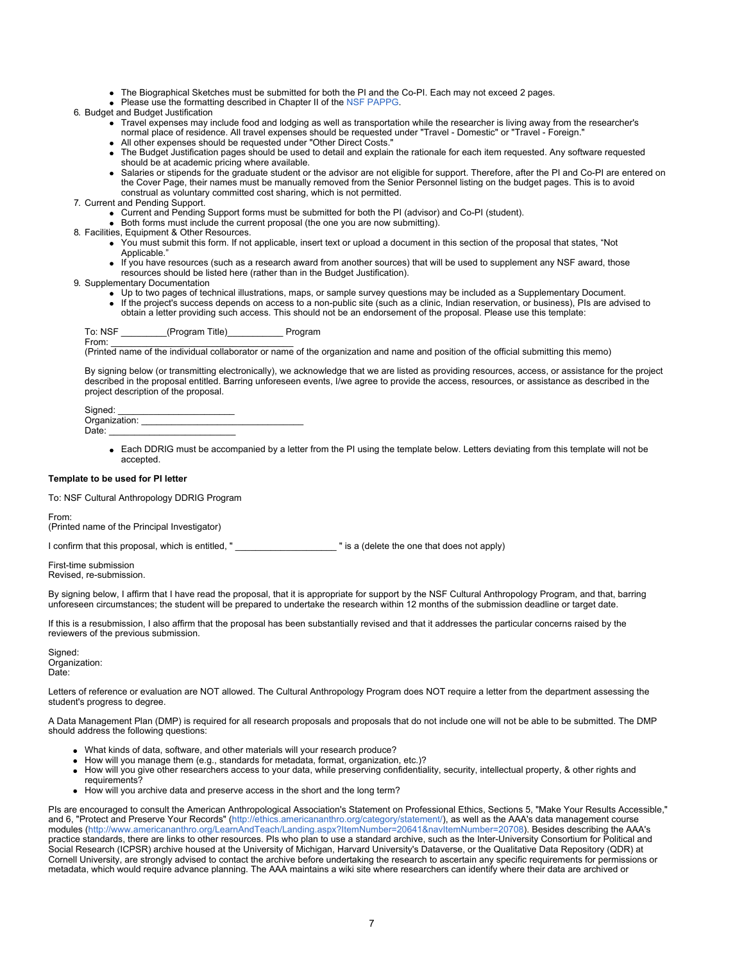- The Biographical Sketches must be submitted for both the PI and the Co-PI. Each may not exceed 2 pages.
- Please use the formatting described in Chapter II of the [NSF PAPPG](https://www.nsf.gov/publications/pub_summ.jsp?ods_key=pappg).
- 6. Budget and Budget Justification
	- Travel expenses may include food and lodging as well as transportation while the researcher is living away from the researcher's normal place of residence. All travel expenses should be requested under "Travel - Domestic" or "Travel - Foreign."
	- All other expenses should be requested under "Other Direct Costs."
	- The Budget Justification pages should be used to detail and explain the rationale for each item requested. Any software requested should be at academic pricing where available.
	- Salaries or stipends for the graduate student or the advisor are not eligible for support. Therefore, after the PI and Co-PI are entered on the Cover Page, their names must be manually removed from the Senior Personnel listing on the budget pages. This is to avoid construal as voluntary committed cost sharing, which is not permitted.
- 7. Current and Pending Support.
	- Current and Pending Support forms must be submitted for both the PI (advisor) and Co-PI (student).
	- Both forms must include the current proposal (the one you are now submitting).
- 8. Facilities, Equipment & Other Resources.
	- You must submit this form. If not applicable, insert text or upload a document in this section of the proposal that states, "Not Applicable."
	- If you have resources (such as a research award from another sources) that will be used to supplement any NSF award, those resources should be listed here (rather than in the Budget Justification).
- 9. Supplementary Documentation
	- Up to two pages of technical illustrations, maps, or sample survey questions may be included as a Supplementary Document. If the project's success depends on access to a non-public site (such as a clinic, Indian reservation, or business), PIs are advised to
	- obtain a letter providing such access. This should not be an endorsement of the proposal. Please use this template:

To: NSF \_\_\_\_\_\_\_\_\_(Program Title)\_\_\_\_\_\_\_\_\_\_\_ Program

From: \_\_\_\_\_\_\_\_\_\_\_\_\_\_\_\_\_\_\_\_\_\_\_\_\_\_\_\_\_\_\_\_\_\_\_\_ (Printed name of the individual collaborator or name of the organization and name and position of the official submitting this memo)

By signing below (or transmitting electronically), we acknowledge that we are listed as providing resources, access, or assistance for the project described in the proposal entitled. Barring unforeseen events, I/we agree to provide the access, resources, or assistance as described in the project description of the proposal.

Signed: Organization: Date:

> Each DDRIG must be accompanied by a letter from the PI using the template below. Letters deviating from this template will not be accepted.

#### **Template to be used for PI letter**

To: NSF Cultural Anthropology DDRIG Program

From:

(Printed name of the Principal Investigator)

I confirm that this proposal, which is entitled. "  $\blacksquare$  " is a (delete the one that does not apply)

First-time submission Revised, re-submission.

By signing below, I affirm that I have read the proposal, that it is appropriate for support by the NSF Cultural Anthropology Program, and that, barring unforeseen circumstances; the student will be prepared to undertake the research within 12 months of the submission deadline or target date.

If this is a resubmission, I also affirm that the proposal has been substantially revised and that it addresses the particular concerns raised by the reviewers of the previous submission.

Signed: Organization: Date:

Letters of reference or evaluation are NOT allowed. The Cultural Anthropology Program does NOT require a letter from the department assessing the student's progress to degree.

A Data Management Plan (DMP) is required for all research proposals and proposals that do not include one will not be able to be submitted. The DMP should address the following questions:

- What kinds of data, software, and other materials will your research produce?
- How will you manage them (e.g., standards for metadata, format, organization, etc.)?
- How will you give other researchers access to your data, while preserving confidentiality, security, intellectual property, & other rights and requirements?
- How will you archive data and preserve access in the short and the long term?

PIs are encouraged to consult the American Anthropological Association's Statement on Professional Ethics, Sections 5, "Make Your Results Accessible," and 6, "Protect and Preserve Your Records" ([http://ethics.americananthro.org/category/statement/](https://www.nsf.gov/cgi-bin/goodbye?http://ethics.americananthro.org/category/statement/)), as well as the AAA's data management course modules [\(http://www.americananthro.org/LearnAndTeach/Landing.aspx?ItemNumber=20641&navItemNumber=20708](https://www.nsf.gov/cgi-bin/goodbye?http://www.americananthro.org/LearnAndTeach/Landing.aspx?ItemNumber=20641&navItemNumber=20708)). Besides describing the AAA's practice standards, there are links to other resources. PIs who plan to use a standard archive, such as the Inter-University Consortium for Political and Social Research (ICPSR) archive housed at the University of Michigan, Harvard University's Dataverse, or the Qualitative Data Repository (QDR) at Cornell University, are strongly advised to contact the archive before undertaking the research to ascertain any specific requirements for permissions or metadata, which would require advance planning. The AAA maintains a wiki site where researchers can identify where their data are archived or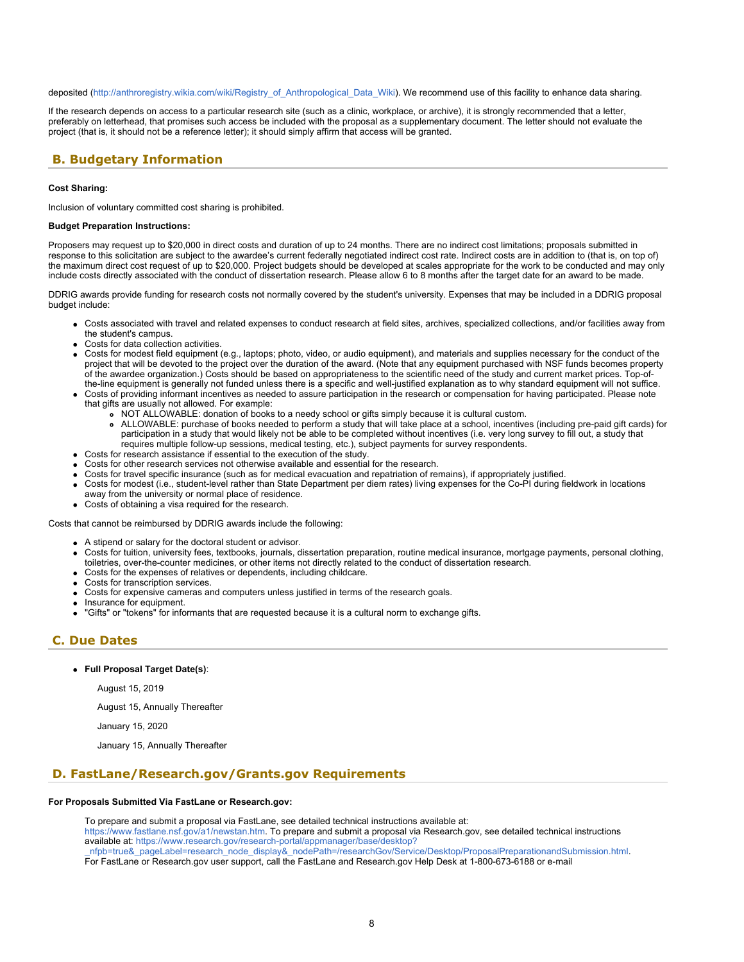<span id="page-7-1"></span>deposited ([http://anthroregistry.wikia.com/wiki/Registry\\_of\\_Anthropological\\_Data\\_Wiki](https://www.nsf.gov/cgi-bin/goodbye?http://anthroregistry.wikia.com/wiki/Registry_of_Anthropological_Data_Wiki)). We recommend use of this facility to enhance data sharing.

If the research depends on access to a particular research site (such as a clinic, workplace, or archive), it is strongly recommended that a letter, preferably on letterhead, that promises such access be included with the proposal as a supplementary document. The letter should not evaluate the project (that is, it should not be a reference letter); it should simply affirm that access will be granted.

# <span id="page-7-0"></span>**B. Budgetary Information**

#### **Cost Sharing:**

Inclusion of voluntary committed cost sharing is prohibited.

#### **Budget Preparation Instructions:**

Proposers may request up to \$20,000 in direct costs and duration of up to 24 months. There are no indirect cost limitations; proposals submitted in response to this solicitation are subject to the awardee's current federally negotiated indirect cost rate. Indirect costs are in addition to (that is, on top of) the maximum direct cost request of up to \$20,000. Project budgets should be developed at scales appropriate for the work to be conducted and may only include costs directly associated with the conduct of dissertation research. Please allow 6 to 8 months after the target date for an award to be made.

DDRIG awards provide funding for research costs not normally covered by the student's university. Expenses that may be included in a DDRIG proposal budget include:

- Costs associated with travel and related expenses to conduct research at field sites, archives, specialized collections, and/or facilities away from the student's campus.
- Costs for data collection activities.
- Costs for modest field equipment (e.g., laptops; photo, video, or audio equipment), and materials and supplies necessary for the conduct of the project that will be devoted to the project over the duration of the award. (Note that any equipment purchased with NSF funds becomes property of the awardee organization.) Costs should be based on appropriateness to the scientific need of the study and current market prices. Top-ofthe-line equipment is generally not funded unless there is a specific and well-justified explanation as to why standard equipment will not suffice.
- Costs of providing informant incentives as needed to assure participation in the research or compensation for having participated. Please note that gifts are usually not allowed. For example:
	- o NOT ALLOWABLE: donation of books to a needy school or gifts simply because it is cultural custom.
	- ALLOWABLE: purchase of books needed to perform a study that will take place at a school, incentives (including pre-paid gift cards) for  $\bullet$ participation in a study that would likely not be able to be completed without incentives (i.e. very long survey to fill out, a study that requires multiple follow-up sessions, medical testing, etc.), subject payments for survey respondents.
- Costs for research assistance if essential to the execution of the study.
- Costs for other research services not otherwise available and essential for the research.
- Costs for travel specific insurance (such as for medical evacuation and repatriation of remains), if appropriately justified.
- Costs for modest (i.e., student-level rather than State Department per diem rates) living expenses for the Co-PI during fieldwork in locations away from the university or normal place of residence.
- Costs of obtaining a visa required for the research.

Costs that cannot be reimbursed by DDRIG awards include the following:

- A stipend or salary for the doctoral student or advisor.
- Costs for tuition, university fees, textbooks, journals, dissertation preparation, routine medical insurance, mortgage payments, personal clothing, toiletries, over-the-counter medicines, or other items not directly related to the conduct of dissertation research.
- Costs for the expenses of relatives or dependents, including childcare.
- Costs for transcription services.
- Costs for expensive cameras and computers unless justified in terms of the research goals.
- Insurance for equipment.
- "Gifts" or "tokens" for informants that are requested because it is a cultural norm to exchange gifts.

### **C. Due Dates**

**Full Proposal Target Date(s)**:

August 15, 2019

August 15, Annually Thereafter

January 15, 2020

January 15, Annually Thereafter

# <span id="page-7-2"></span>**D. FastLane/Research.gov/Grants.gov Requirements**

#### **For Proposals Submitted Via FastLane or Research.gov:**

To prepare and submit a proposal via FastLane, see detailed technical instructions available at:

<https://www.fastlane.nsf.gov/a1/newstan.htm>. To prepare and submit a proposal via Research.gov, see detailed technical instructions available at: [https://www.research.gov/research-portal/appmanager/base/desktop?](https://www.research.gov/research-portal/appmanager/base/desktop?_nfpb=true&_pageLabel=research_node_display&_nodePath=/researchGov/Service/Desktop/ProposalPreparationandSubmission.html)

[\\_nfpb=true&\\_pageLabel=research\\_node\\_display&\\_nodePath=/researchGov/Service/Desktop/ProposalPreparationandSubmission.html](https://www.research.gov/research-portal/appmanager/base/desktop?_nfpb=true&_pageLabel=research_node_display&_nodePath=/researchGov/Service/Desktop/ProposalPreparationandSubmission.html). For FastLane or Research.gov user support, call the FastLane and Research.gov Help Desk at 1-800-673-6188 or e-mail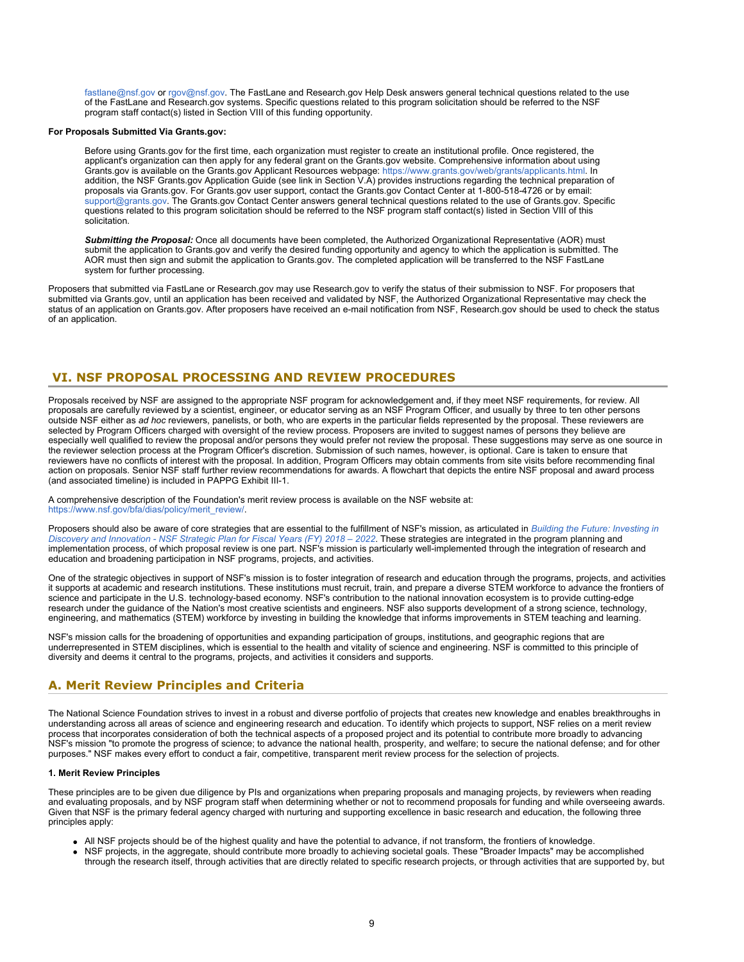[fastlane@nsf.gov](mailto:fastlane@nsf.gov) or [rgov@nsf.gov](mailto:rgov@nsf.gov). The FastLane and Research.gov Help Desk answers general technical questions related to the use of the FastLane and Research.gov systems. Specific questions related to this program solicitation should be referred to the NSF program staff contact(s) listed in Section VIII of this funding opportunity.

#### **For Proposals Submitted Via Grants.gov:**

Before using Grants.gov for the first time, each organization must register to create an institutional profile. Once registered, the applicant's organization can then apply for any federal grant on the Grants.gov website. Comprehensive information about using Grants.gov is available on the Grants.gov Applicant Resources webpage:<https://www.grants.gov/web/grants/applicants.html>. In addition, the NSF Grants.gov Application Guide (see link in Section V.A) provides instructions regarding the technical preparation of proposals via Grants.gov. For Grants.gov user support, contact the Grants.gov Contact Center at 1-800-518-4726 or by email: [support@grants.gov.](mailto:support@grants.gov) The Grants.gov Contact Center answers general technical questions related to the use of Grants.gov. Specific questions related to this program solicitation should be referred to the NSF program staff contact(s) listed in Section VIII of this solicitation.

*Submitting the Proposal:* Once all documents have been completed, the Authorized Organizational Representative (AOR) must submit the application to Grants.gov and verify the desired funding opportunity and agency to which the application is submitted. The AOR must then sign and submit the application to Grants.gov. The completed application will be transferred to the NSF FastLane system for further processing.

Proposers that submitted via FastLane or Research.gov may use Research.gov to verify the status of their submission to NSF. For proposers that submitted via Grants.gov, until an application has been received and validated by NSF, the Authorized Organizational Representative may check the status of an application on Grants.gov. After proposers have received an e-mail notification from NSF, Research.gov should be used to check the status of an application.

### <span id="page-8-0"></span>**VI. NSF PROPOSAL PROCESSING AND REVIEW PROCEDURES**

Proposals received by NSF are assigned to the appropriate NSF program for acknowledgement and, if they meet NSF requirements, for review. All proposals are carefully reviewed by a scientist, engineer, or educator serving as an NSF Program Officer, and usually by three to ten other persons outside NSF either as *ad hoc* reviewers, panelists, or both, who are experts in the particular fields represented by the proposal. These reviewers are selected by Program Officers charged with oversight of the review process. Proposers are invited to suggest names of persons they believe are especially well qualified to review the proposal and/or persons they would prefer not review the proposal. These suggestions may serve as one source in the reviewer selection process at the Program Officer's discretion. Submission of such names, however, is optional. Care is taken to ensure that reviewers have no conflicts of interest with the proposal. In addition, Program Officers may obtain comments from site visits before recommending final action on proposals. Senior NSF staff further review recommendations for awards. A flowchart that depicts the entire NSF proposal and award process (and associated timeline) is included in PAPPG Exhibit III-1.

A comprehensive description of the Foundation's merit review process is available on the NSF website at: [https://www.nsf.gov/bfa/dias/policy/merit\\_review/](https://www.nsf.gov/bfa/dias/policy/merit_review/).

Proposers should also be aware of core strategies that are essential to the fulfillment of NSF's mission, as articulated in *[Building the Future: Investing in](https://www.nsf.gov/publications/pub_summ.jsp?ods_key=nsf18045) [Discovery and Innovation - NSF Strategic Plan for Fiscal Years \(FY\) 2018 – 2022](https://www.nsf.gov/publications/pub_summ.jsp?ods_key=nsf18045)*. These strategies are integrated in the program planning and implementation process, of which proposal review is one part. NSF's mission is particularly well-implemented through the integration of research and education and broadening participation in NSF programs, projects, and activities.

One of the strategic objectives in support of NSF's mission is to foster integration of research and education through the programs, projects, and activities it supports at academic and research institutions. These institutions must recruit, train, and prepare a diverse STEM workforce to advance the frontiers of science and participate in the U.S. technology-based economy. NSF's contribution to the national innovation ecosystem is to provide cutting-edge research under the guidance of the Nation's most creative scientists and engineers. NSF also supports development of a strong science, technology, engineering, and mathematics (STEM) workforce by investing in building the knowledge that informs improvements in STEM teaching and learning.

NSF's mission calls for the broadening of opportunities and expanding participation of groups, institutions, and geographic regions that are underrepresented in STEM disciplines, which is essential to the health and vitality of science and engineering. NSF is committed to this principle of diversity and deems it central to the programs, projects, and activities it considers and supports.

# <span id="page-8-1"></span>**A. Merit Review Principles and Criteria**

The National Science Foundation strives to invest in a robust and diverse portfolio of projects that creates new knowledge and enables breakthroughs in understanding across all areas of science and engineering research and education. To identify which projects to support, NSF relies on a merit review process that incorporates consideration of both the technical aspects of a proposed project and its potential to contribute more broadly to advancing NSF's mission "to promote the progress of science; to advance the national health, prosperity, and welfare; to secure the national defense; and for other purposes." NSF makes every effort to conduct a fair, competitive, transparent merit review process for the selection of projects.

#### **1. Merit Review Principles**

These principles are to be given due diligence by PIs and organizations when preparing proposals and managing projects, by reviewers when reading and evaluating proposals, and by NSF program staff when determining whether or not to recommend proposals for funding and while overseeing awards. Given that NSF is the primary federal agency charged with nurturing and supporting excellence in basic research and education, the following three principles apply:

- All NSF projects should be of the highest quality and have the potential to advance, if not transform, the frontiers of knowledge.
- NSF projects, in the aggregate, should contribute more broadly to achieving societal goals. These "Broader Impacts" may be accomplished through the research itself, through activities that are directly related to specific research projects, or through activities that are supported by, but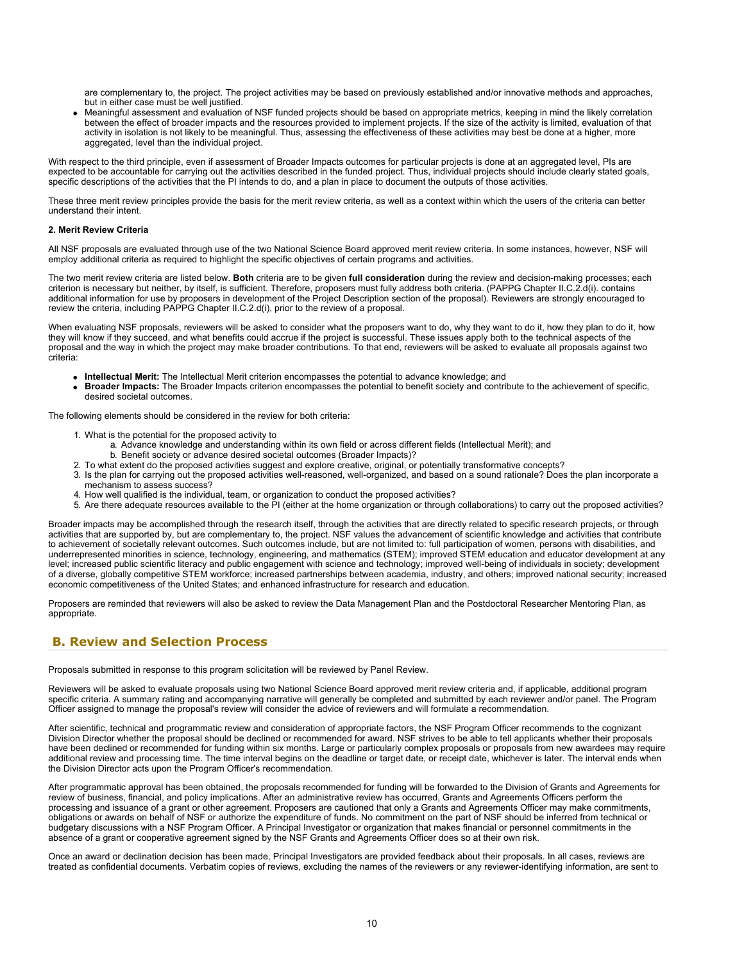are complementary to, the project. The project activities may be based on previously established and/or innovative methods and approaches, but in either case must be well justified.

Meaningful assessment and evaluation of NSF funded projects should be based on appropriate metrics, keeping in mind the likely correlation between the effect of broader impacts and the resources provided to implement projects. If the size of the activity is limited, evaluation of that activity in isolation is not likely to be meaningful. Thus, assessing the effectiveness of these activities may best be done at a higher, more aggregated, level than the individual project.

With respect to the third principle, even if assessment of Broader Impacts outcomes for particular projects is done at an aggregated level, PIs are expected to be accountable for carrying out the activities described in the funded project. Thus, individual projects should include clearly stated goals, specific descriptions of the activities that the PI intends to do, and a plan in place to document the outputs of those activities.

These three merit review principles provide the basis for the merit review criteria, as well as a context within which the users of the criteria can better understand their intent.

#### **2. Merit Review Criteria**

All NSF proposals are evaluated through use of the two National Science Board approved merit review criteria. In some instances, however, NSF will employ additional criteria as required to highlight the specific objectives of certain programs and activities.

The two merit review criteria are listed below. **Both** criteria are to be given **full consideration** during the review and decision-making processes; each criterion is necessary but neither, by itself, is sufficient. Therefore, proposers must fully address both criteria. (PAPPG Chapter II.C.2.d(i). contains additional information for use by proposers in development of the Project Description section of the proposal). Reviewers are strongly encouraged to review the criteria, including PAPPG Chapter II.C.2.d(i), prior to the review of a proposal.

When evaluating NSF proposals, reviewers will be asked to consider what the proposers want to do, why they want to do it, how they plan to do it, how they will know if they succeed, and what benefits could accrue if the project is successful. These issues apply both to the technical aspects of the proposal and the way in which the project may make broader contributions. To that end, reviewers will be asked to evaluate all proposals against two criteria:

- **Intellectual Merit:** The Intellectual Merit criterion encompasses the potential to advance knowledge; and
- **Broader Impacts:** The Broader Impacts criterion encompasses the potential to benefit society and contribute to the achievement of specific, desired societal outcomes.

The following elements should be considered in the review for both criteria:

- 1. What is the potential for the proposed activity to
- a. Advance knowledge and understanding within its own field or across different fields (Intellectual Merit); and
	- b. Benefit society or advance desired societal outcomes (Broader Impacts)?
- 2. To what extent do the proposed activities suggest and explore creative, original, or potentially transformative concepts?
- 3. Is the plan for carrying out the proposed activities well-reasoned, well-organized, and based on a sound rationale? Does the plan incorporate a mechanism to assess success?
- 4. How well qualified is the individual, team, or organization to conduct the proposed activities?
- 5. Are there adequate resources available to the PI (either at the home organization or through collaborations) to carry out the proposed activities?

Broader impacts may be accomplished through the research itself, through the activities that are directly related to specific research projects, or through activities that are supported by, but are complementary to, the project. NSF values the advancement of scientific knowledge and activities that contribute to achievement of societally relevant outcomes. Such outcomes include, but are not limited to: full participation of women, persons with disabilities, and underrepresented minorities in science, technology, engineering, and mathematics (STEM); improved STEM education and educator development at any level; increased public scientific literacy and public engagement with science and technology; improved well-being of individuals in society; development of a diverse, globally competitive STEM workforce; increased partnerships between academia, industry, and others; improved national security; increased economic competitiveness of the United States; and enhanced infrastructure for research and education.

Proposers are reminded that reviewers will also be asked to review the Data Management Plan and the Postdoctoral Researcher Mentoring Plan, as appropriate.

### <span id="page-9-0"></span>**B. Review and Selection Process**

Proposals submitted in response to this program solicitation will be reviewed by Panel Review.

Reviewers will be asked to evaluate proposals using two National Science Board approved merit review criteria and, if applicable, additional program specific criteria. A summary rating and accompanying narrative will generally be completed and submitted by each reviewer and/or panel. The Program Officer assigned to manage the proposal's review will consider the advice of reviewers and will formulate a recommendation.

After scientific, technical and programmatic review and consideration of appropriate factors, the NSF Program Officer recommends to the cognizant Division Director whether the proposal should be declined or recommended for award. NSF strives to be able to tell applicants whether their proposals have been declined or recommended for funding within six months. Large or particularly complex proposals or proposals from new awardees may require additional review and processing time. The time interval begins on the deadline or target date, or receipt date, whichever is later. The interval ends when the Division Director acts upon the Program Officer's recommendation.

After programmatic approval has been obtained, the proposals recommended for funding will be forwarded to the Division of Grants and Agreements for review of business, financial, and policy implications. After an administrative review has occurred, Grants and Agreements Officers perform the processing and issuance of a grant or other agreement. Proposers are cautioned that only a Grants and Agreements Officer may make commitments, obligations or awards on behalf of NSF or authorize the expenditure of funds. No commitment on the part of NSF should be inferred from technical or budgetary discussions with a NSF Program Officer. A Principal Investigator or organization that makes financial or personnel commitments in the absence of a grant or cooperative agreement signed by the NSF Grants and Agreements Officer does so at their own risk.

Once an award or declination decision has been made, Principal Investigators are provided feedback about their proposals. In all cases, reviews are treated as confidential documents. Verbatim copies of reviews, excluding the names of the reviewers or any reviewer-identifying information, are sent to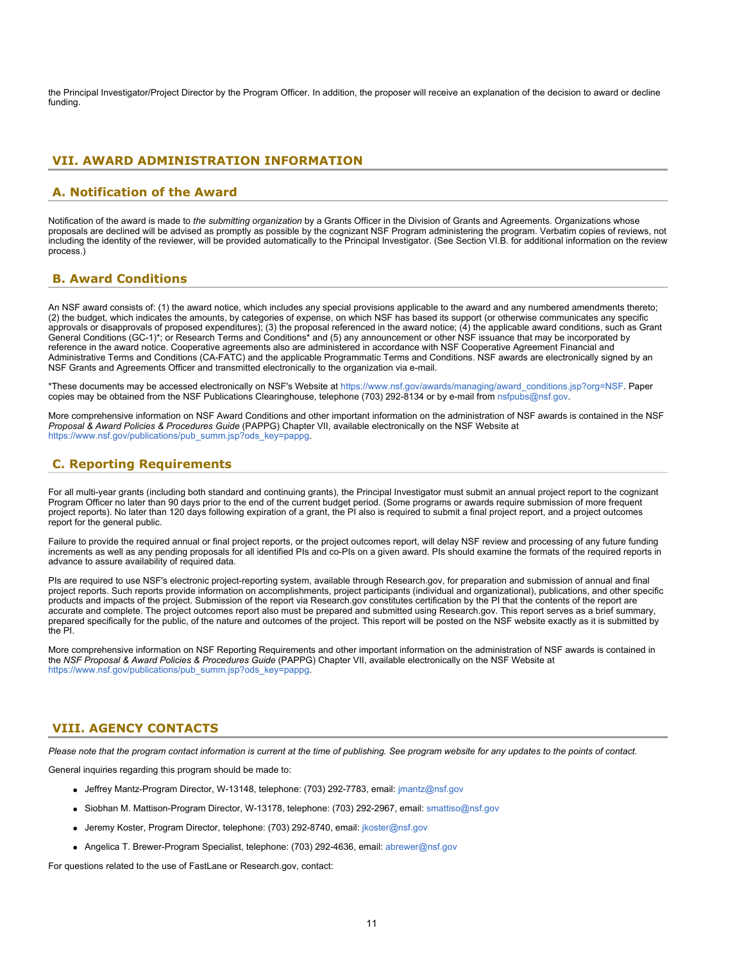the Principal Investigator/Project Director by the Program Officer. In addition, the proposer will receive an explanation of the decision to award or decline funding.

# <span id="page-10-0"></span>**VII. AWARD ADMINISTRATION INFORMATION**

### <span id="page-10-1"></span>**A. Notification of the Award**

Notification of the award is made to the submitting organization by a Grants Officer in the Division of Grants and Agreements. Organizations whose proposals are declined will be advised as promptly as possible by the cognizant NSF Program administering the program. Verbatim copies of reviews, not including the identity of the reviewer, will be provided automatically to the Principal Investigator. (See Section VI.B. for additional information on the review process.)

# <span id="page-10-2"></span>**B. Award Conditions**

An NSF award consists of: (1) the award notice, which includes any special provisions applicable to the award and any numbered amendments thereto; (2) the budget, which indicates the amounts, by categories of expense, on which NSF has based its support (or otherwise communicates any specific approvals or disapprovals of proposed expenditures); (3) the proposal referenced in the award notice; (4) the applicable award conditions, such as Grant General Conditions (GC-1)\*; or Research Terms and Conditions\* and (5) any announcement or other NSF issuance that may be incorporated by reference in the award notice. Cooperative agreements also are administered in accordance with NSF Cooperative Agreement Financial and Administrative Terms and Conditions (CA-FATC) and the applicable Programmatic Terms and Conditions. NSF awards are electronically signed by an NSF Grants and Agreements Officer and transmitted electronically to the organization via e-mail.

\*These documents may be accessed electronically on NSF's Website at [https://www.nsf.gov/awards/managing/award\\_conditions.jsp?org=NSF](https://www.nsf.gov/awards/managing/award_conditions.jsp?org=NSF). Paper copies may be obtained from the NSF Publications Clearinghouse, telephone (703) 292-8134 or by e-mail from [nsfpubs@nsf.gov.](mailto:nsfpubs@nsf.gov)

More comprehensive information on NSF Award Conditions and other important information on the administration of NSF awards is contained in the NSF *Proposal & Award Policies & Procedures Guide* (PAPPG) Chapter VII, available electronically on the NSF Website at [https://www.nsf.gov/publications/pub\\_summ.jsp?ods\\_key=pappg.](https://www.nsf.gov/publications/pub_summ.jsp?ods_key=pappg)

# <span id="page-10-3"></span>**C. Reporting Requirements**

For all multi-year grants (including both standard and continuing grants), the Principal Investigator must submit an annual project report to the cognizant Program Officer no later than 90 days prior to the end of the current budget period. (Some programs or awards require submission of more frequent project reports). No later than 120 days following expiration of a grant, the PI also is required to submit a final project report, and a project outcomes report for the general public.

Failure to provide the required annual or final project reports, or the project outcomes report, will delay NSF review and processing of any future funding increments as well as any pending proposals for all identified PIs and co-PIs on a given award. PIs should examine the formats of the required reports in advance to assure availability of required data.

PIs are required to use NSF's electronic project-reporting system, available through Research.gov, for preparation and submission of annual and final project reports. Such reports provide information on accomplishments, project participants (individual and organizational), publications, and other specific products and impacts of the project. Submission of the report via Research.gov constitutes certification by the PI that the contents of the report are accurate and complete. The project outcomes report also must be prepared and submitted using Research.gov. This report serves as a brief summary, prepared specifically for the public, of the nature and outcomes of the project. This report will be posted on the NSF website exactly as it is submitted by the PI.

More comprehensive information on NSF Reporting Requirements and other important information on the administration of NSF awards is contained in the *NSF Proposal & Award Policies & Procedures Guide* (PAPPG) Chapter VII, available electronically on the NSF Website at [https://www.nsf.gov/publications/pub\\_summ.jsp?ods\\_key=pappg.](https://www.nsf.gov/publications/pub_summ.jsp?ods_key=pappg)

# <span id="page-10-4"></span>**VIII. AGENCY CONTACTS**

*Please note that the program contact information is current at the time of publishing. See program website for any updates to the points of contact.*

General inquiries regarding this program should be made to:

- Jeffrey Mantz-Program Director, W-13148, telephone: (703) 292-7783, email: [jmantz@nsf.gov](mailto:jmantz@nsf.gov)
- Siobhan M. Mattison-Program Director, W-13178, telephone: (703) 292-2967, email: [smattiso@nsf.gov](mailto:smattiso@nsf.gov)
- Jeremy Koster, Program Director, telephone: (703) 292-8740, email: *jkoster@nsf.gov*
- Angelica T. Brewer-Program Specialist, telephone: (703) 292-4636, email: [abrewer@nsf.gov](mailto:abrewer@nsf.gov)

For questions related to the use of FastLane or Research.gov, contact: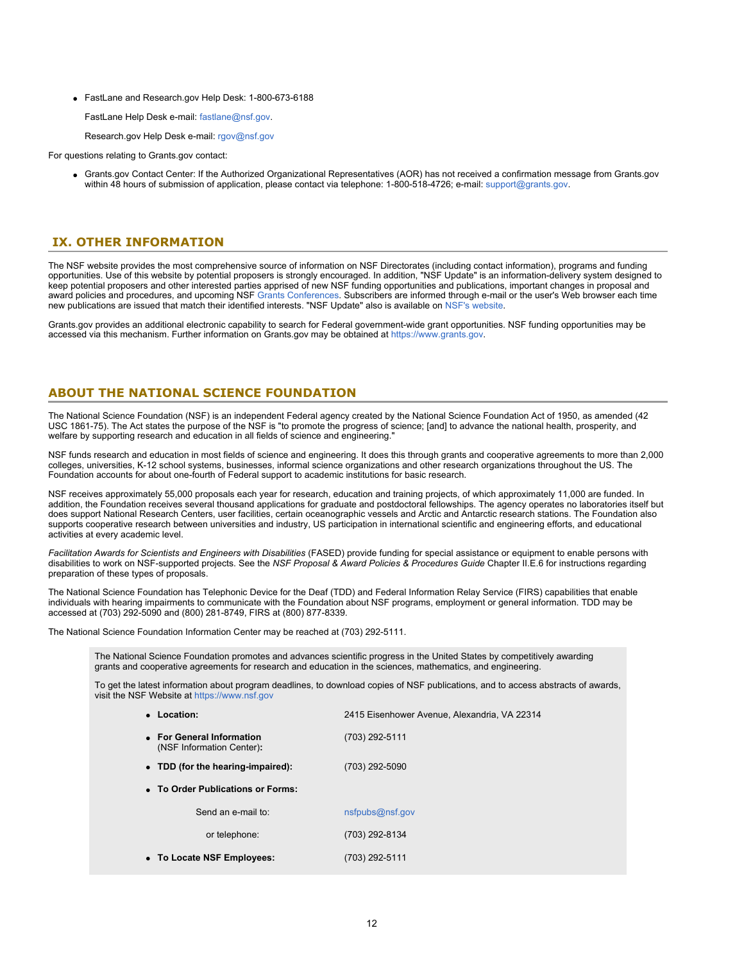FastLane and Research.gov Help Desk: 1-800-673-6188

FastLane Help Desk e-mail: [fastlane@nsf.gov](mailto:fastlane@nsf.gov).

Research.gov Help Desk e-mail: [rgov@nsf.gov](mailto:rgov@nsf.gov)

For questions relating to Grants.gov contact:

Grants.gov Contact Center: If the Authorized Organizational Representatives (AOR) has not received a confirmation message from Grants.gov within 48 hours of submission of application, please contact via telephone: 1-800-518-4726; e-mail: [support@grants.gov.](mailto:support@grants.gov)

# <span id="page-11-0"></span>**IX. OTHER INFORMATION**

The NSF website provides the most comprehensive source of information on NSF Directorates (including contact information), programs and funding opportunities. Use of this website by potential proposers is strongly encouraged. In addition, "NSF Update" is an information-delivery system designed to keep potential proposers and other interested parties apprised of new NSF funding opportunities and publications, important changes in proposal and award policies and procedures, and upcoming NSF [Grants Conferences](https://www.nsf.gov/bfa/dias/policy/outreach.jsp). Subscribers are informed through e-mail or the user's Web browser each time new publications are issued that match their identified interests. "NSF Update" also is available on [NSF's website](https://www.nsf.gov/cgi-bin/goodbye?https://public.govdelivery.com/accounts/USNSF/subscriber/new?topic_id=USNSF_179).

Grants.gov provides an additional electronic capability to search for Federal government-wide grant opportunities. NSF funding opportunities may be accessed via this mechanism. Further information on Grants.gov may be obtained at [https://www.grants.gov.](https://www.grants.gov/)

### **ABOUT THE NATIONAL SCIENCE FOUNDATION**

The National Science Foundation (NSF) is an independent Federal agency created by the National Science Foundation Act of 1950, as amended (42 USC 1861-75). The Act states the purpose of the NSF is "to promote the progress of science; [and] to advance the national health, prosperity, and welfare by supporting research and education in all fields of science and engineering."

NSF funds research and education in most fields of science and engineering. It does this through grants and cooperative agreements to more than 2,000 colleges, universities, K-12 school systems, businesses, informal science organizations and other research organizations throughout the US. The Foundation accounts for about one-fourth of Federal support to academic institutions for basic research.

NSF receives approximately 55,000 proposals each year for research, education and training projects, of which approximately 11,000 are funded. In addition, the Foundation receives several thousand applications for graduate and postdoctoral fellowships. The agency operates no laboratories itself but does support National Research Centers, user facilities, certain oceanographic vessels and Arctic and Antarctic research stations. The Foundation also supports cooperative research between universities and industry, US participation in international scientific and engineering efforts, and educational activities at every academic level.

*Facilitation Awards for Scientists and Engineers with Disabilities* (FASED) provide funding for special assistance or equipment to enable persons with disabilities to work on NSF-supported projects. See the *NSF Proposal & Award Policies & Procedures Guide* Chapter II.E.6 for instructions regarding preparation of these types of proposals.

The National Science Foundation has Telephonic Device for the Deaf (TDD) and Federal Information Relay Service (FIRS) capabilities that enable individuals with hearing impairments to communicate with the Foundation about NSF programs, employment or general information. TDD may be accessed at (703) 292-5090 and (800) 281-8749, FIRS at (800) 877-8339.

The National Science Foundation Information Center may be reached at (703) 292-5111.

The National Science Foundation promotes and advances scientific progress in the United States by competitively awarding grants and cooperative agreements for research and education in the sciences, mathematics, and engineering.

To get the latest information about program deadlines, to download copies of NSF publications, and to access abstracts of awards, visit the NSF Website at [https://www.nsf.gov](https://www.nsf.gov/)

| • Location:                                            | 2415 Eisenhower Avenue, Alexandria, VA 22314 |
|--------------------------------------------------------|----------------------------------------------|
| • For General Information<br>(NSF Information Center): | (703) 292-5111                               |
| • TDD (for the hearing-impaired):                      | (703) 292-5090                               |
| • To Order Publications or Forms:                      |                                              |
| Send an e-mail to:                                     | nsfpubs@nsf.gov                              |
| or telephone:                                          | (703) 292-8134                               |
| • To Locate NSF Employees:                             | (703) 292-5111                               |